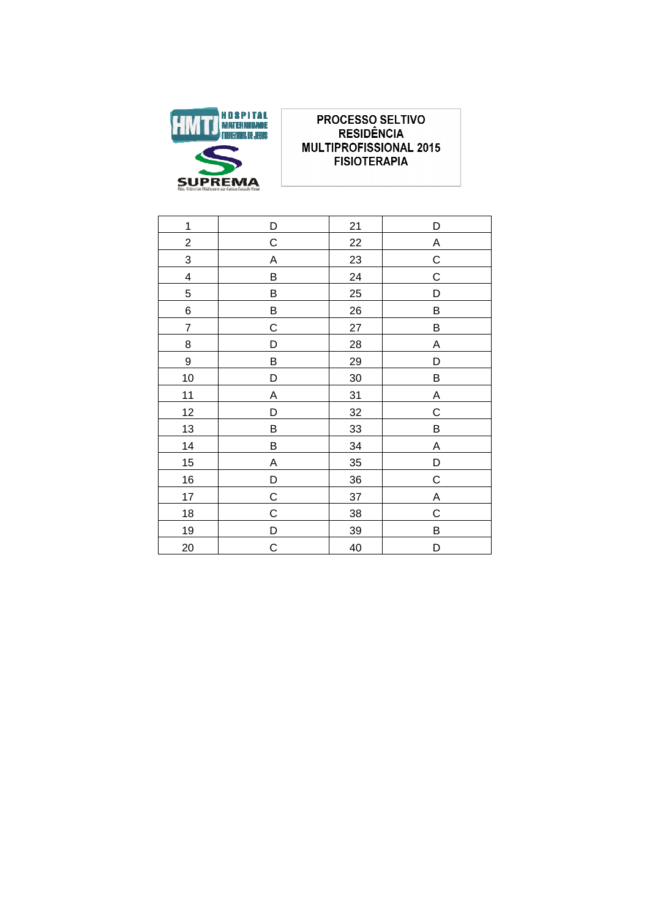

### **PROCESSO SELTIVO RESIDÊNCIA MULTIPROFISSIONAL 2015 FISIOTERAPIA**

| $\mathbf 1$<br>21<br>D<br>D<br>$\overline{c}$<br>$\mathsf C$<br>22<br>Α<br>$\overline{3}$<br>23<br>C<br>A<br>$\overline{\mathcal{A}}$<br>24<br>$\mathbf C$<br>B<br>$\overline{5}$<br>25<br>B<br>D |  |
|---------------------------------------------------------------------------------------------------------------------------------------------------------------------------------------------------|--|
|                                                                                                                                                                                                   |  |
|                                                                                                                                                                                                   |  |
|                                                                                                                                                                                                   |  |
|                                                                                                                                                                                                   |  |
|                                                                                                                                                                                                   |  |
| 6<br>$\sf B$<br>B<br>26                                                                                                                                                                           |  |
| $\overline{7}$<br>$\mathsf C$<br>27<br>B                                                                                                                                                          |  |
| 8<br>28<br>Α<br>D                                                                                                                                                                                 |  |
| $\overline{9}$<br>B<br>29<br>D                                                                                                                                                                    |  |
| 10<br>30<br>B<br>D                                                                                                                                                                                |  |
| 11<br>31<br>$\overline{A}$<br>A                                                                                                                                                                   |  |
| 12<br>$\mathbf C$<br>32<br>D                                                                                                                                                                      |  |
| 13<br>B<br>B<br>33                                                                                                                                                                                |  |
| 14<br>34<br>$\boldsymbol{\mathsf{A}}$<br>B                                                                                                                                                        |  |
| 15<br>A<br>35<br>D                                                                                                                                                                                |  |
| 16<br>36<br>$\mathsf C$<br>D                                                                                                                                                                      |  |
| 17<br>$\overline{C}$<br>37<br>$\overline{A}$                                                                                                                                                      |  |
| $\mathsf C$<br>$\mathbf C$<br>18<br>38                                                                                                                                                            |  |
| 19<br>$\overline{D}$<br>B<br>39                                                                                                                                                                   |  |
| $\mathsf C$<br>20<br>40<br>D                                                                                                                                                                      |  |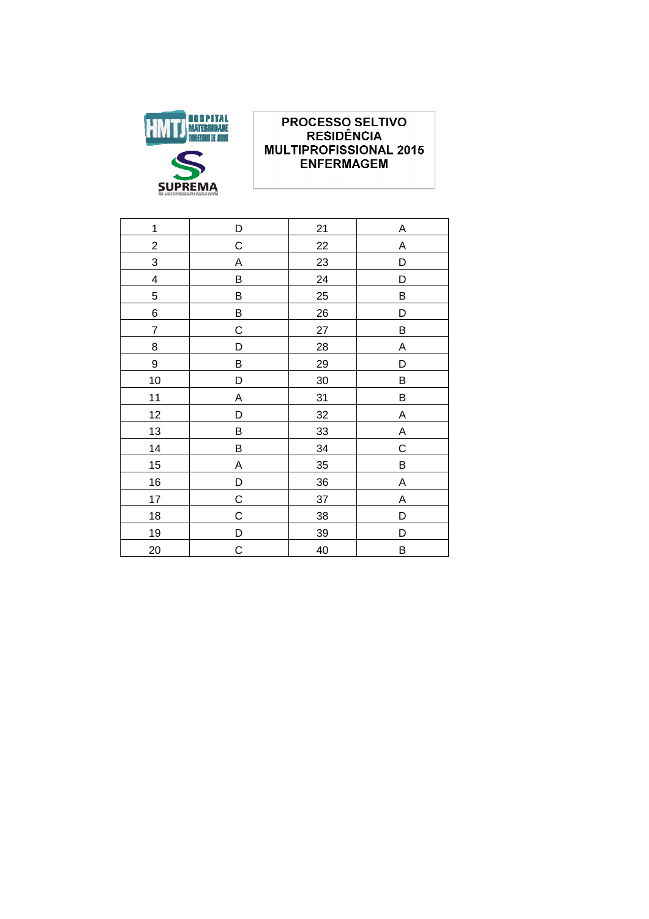

# **PROCESSO SELTIVO<br>RESIDÊNCIA MULTIPROFISSIONAL 2015 ENFERMAGEM**

| D           | 21        | Α           |
|-------------|-----------|-------------|
| С           | 22        | Α           |
| A           | 23        | D           |
| B           | 24        | D           |
| B           | 25        | B           |
| B           | 26        | D           |
| $\mathsf C$ | 27        | B           |
| D           | <b>28</b> | A           |
| B           | 29        | D           |
| D           | 30        | B           |
| A           | 31        | $\sf B$     |
| D           | 32        | A           |
| B           | 33        | A           |
| B           | 34        | $\mathsf C$ |
| Α           | 35        | B           |
| D           | 36        | A           |
| C           | 37        | A           |
| C           | 38        | D           |
| D           | 39        | D           |
| $\mathsf C$ | 40        | B           |
|             |           |             |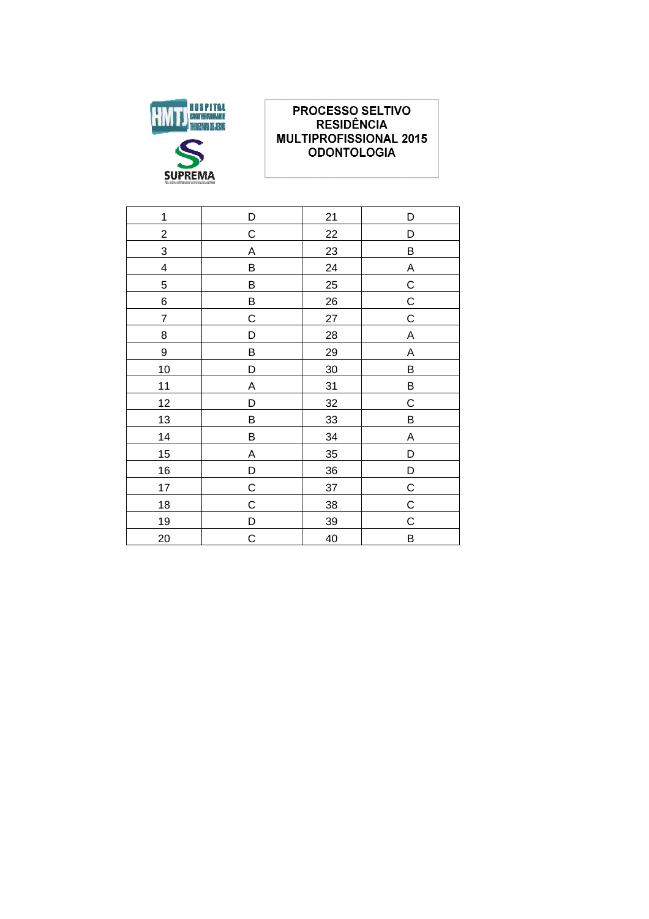

## PROCESSO SELTIVO **RESIDÊNCIA MULTIPROFISSIONAL 2015 ODONTOLOGIA**

| $\mathbf 1$              | D           | 21 | D              |
|--------------------------|-------------|----|----------------|
| $\overline{\mathbf{c}}$  | C           | 22 | D              |
| $\overline{3}$           | Α           | 23 | B              |
| 4                        | B           | 24 | A              |
| 5                        | B           | 25 | $\overline{C}$ |
| 6                        | B           | 26 | $\mathsf C$    |
| $\overline{\mathcal{I}}$ | $\mathsf C$ | 27 | $\mathsf C$    |
| 8                        | D           | 28 | A              |
| 9                        | В           | 29 | Α              |
| 10                       | D           | 30 | B              |
| 11                       | A           | 31 | B              |
| 12                       | D           | 32 | $\mathsf C$    |
| 13                       | B           | 33 | B              |
| 14                       | B           | 34 | A              |
| 15                       | Α           | 35 | D              |
| 16                       | D           | 36 | D              |
| 17                       | C           | 37 | $\overline{C}$ |
| 18                       | $\mathbf C$ | 38 | $\overline{C}$ |
| 19                       | D           | 39 | $\mathsf C$    |
| 20                       | $\mathsf C$ | 40 | B              |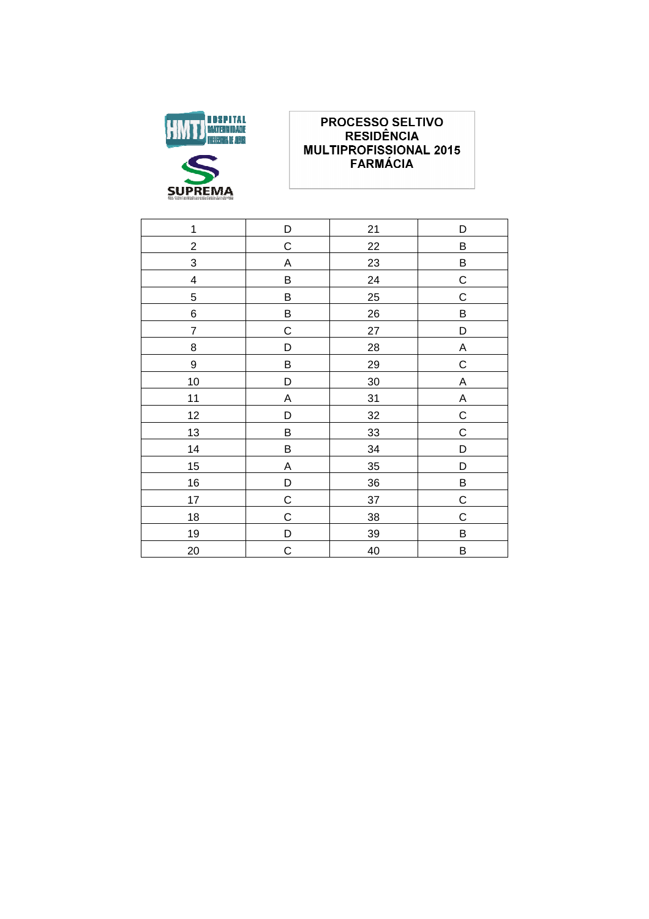

### **PROCESSO SELTIVO** RESIDÊNCIA **MULTIPROFISSIONAL 2015 FARMÁCIA**

| $\mathbf 1$             | D           | 21 | D                         |
|-------------------------|-------------|----|---------------------------|
| $\overline{\mathbf{c}}$ | $\mathsf C$ | 22 | B                         |
| 3                       | A           | 23 | B                         |
| $\overline{\mathbf{4}}$ | $\sf B$     | 24 | $\mathsf C$               |
| $\overline{5}$          | $\sf B$     | 25 | $\overline{C}$            |
| 6                       | B           | 26 | B                         |
| $\overline{7}$          | $\mathsf C$ | 27 | D                         |
| 8                       | D           | 28 | $\mathsf A$               |
| 9                       | B           | 29 | $\overline{C}$            |
| 10                      | D           | 30 | $\mathsf A$               |
| 11                      | A           | 31 | $\boldsymbol{\mathsf{A}}$ |
| 12                      | D           | 32 | $\mathsf C$               |
| 13                      | B           | 33 | $\mathsf C$               |
| 14                      | B           | 34 | D                         |
| 15                      | A           | 35 | D                         |
| 16                      | D           | 36 | B                         |
| 17                      | $\mathsf C$ | 37 | $\overline{C}$            |
| 18                      | $\mathsf C$ | 38 | $\mathsf C$               |
| 19                      | D           | 39 | B                         |
| 20                      | C           | 40 | B                         |